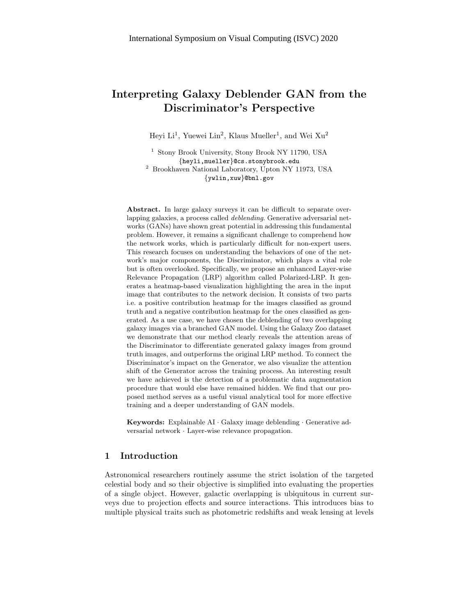# Interpreting Galaxy Deblender GAN from the Discriminator's Perspective

Heyi Li<sup>1</sup>, Yuewei Lin<sup>2</sup>, Klaus Mueller<sup>1</sup>, and Wei Xu<sup>2</sup>

<sup>1</sup> Stony Brook University, Stony Brook NY 11790, USA {heyli,mueller}@cs.stonybrook.edu <sup>2</sup> Brookhaven National Laboratory, Upton NY 11973, USA {ywlin,xuw}@bnl.gov

Abstract. In large galaxy surveys it can be difficult to separate overlapping galaxies, a process called deblending. Generative adversarial networks (GANs) have shown great potential in addressing this fundamental problem. However, it remains a significant challenge to comprehend how the network works, which is particularly difficult for non-expert users. This research focuses on understanding the behaviors of one of the network's major components, the Discriminator, which plays a vital role but is often overlooked. Specifically, we propose an enhanced Layer-wise Relevance Propagation (LRP) algorithm called Polarized-LRP. It generates a heatmap-based visualization highlighting the area in the input image that contributes to the network decision. It consists of two parts i.e. a positive contribution heatmap for the images classified as ground truth and a negative contribution heatmap for the ones classified as generated. As a use case, we have chosen the deblending of two overlapping galaxy images via a branched GAN model. Using the Galaxy Zoo dataset we demonstrate that our method clearly reveals the attention areas of the Discriminator to differentiate generated galaxy images from ground truth images, and outperforms the original LRP method. To connect the Discriminator's impact on the Generator, we also visualize the attention shift of the Generator across the training process. An interesting result we have achieved is the detection of a problematic data augmentation procedure that would else have remained hidden. We find that our proposed method serves as a useful visual analytical tool for more effective training and a deeper understanding of GAN models.

Keywords: Explainable AI · Galaxy image deblending · Generative adversarial network · Layer-wise relevance propagation.

# 1 Introduction

Astronomical researchers routinely assume the strict isolation of the targeted celestial body and so their objective is simplified into evaluating the properties of a single object. However, galactic overlapping is ubiquitous in current surveys due to projection effects and source interactions. This introduces bias to multiple physical traits such as photometric redshifts and weak lensing at levels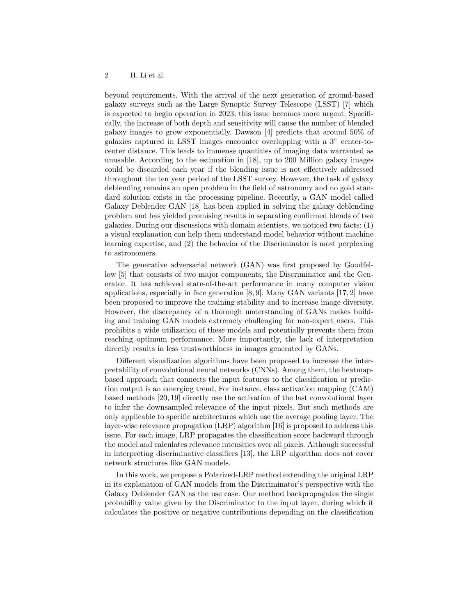beyond requirements. With the arrival of the next generation of ground-based galaxy surveys such as the Large Synoptic Survey Telescope (LSST) [7] which is expected to begin operation in 2023, this issue becomes more urgent. Specifically, the increase of both depth and sensitivity will cause the number of blended galaxy images to grow exponentially. Dawson [4] predicts that around  $50\%$  of galaxies captured in LSST images encounter overlapping with a 3" center-tocenter distance. This leads to immense quantities of imaging data warranted as unusable. According to the estimation in [18], up to 200 Million galaxy images could be discarded each year if the blending issue is not effectively addressed throughout the ten year period of the LSST survey. However, the task of galaxy deblending remains an open problem in the field of astronomy and no gold standard solution exists in the processing pipeline. Recently, a GAN model called Galaxy Deblender GAN [18] has been applied in solving the galaxy deblending problem and has yielded promising results in separating confirmed blends of two galaxies. During our discussions with domain scientists, we noticed two facts: (1) a visual explanation can help them understand model behavior without machine learning expertise, and  $(2)$  the behavior of the Discriminator is most perplexing to astronomers.

The generative adversarial network (GAN) was first proposed by Goodfellow [5] that consists of two major components, the Discriminator and the Generator. It has achieved state-of-the-art performance in many computer vision applications, especially in face generation [8, 9]. Many GAN variants [17, 2] have been proposed to improve the training stability and to increase image diversity. However, the discrepancy of a thorough understanding of GANs makes building and training GAN models extremely challenging for non-expert users. This prohibits a wide utilization of these models and potentially prevents them from reaching optimum performance. More importantly, the lack of interpretation directly results in less trustworthiness in images generated by GANs.

Different visualization algorithms have been proposed to increase the interpretability of convolutional neural networks (CNNs). Among them, the heatmapbased approach that connects the input features to the classification or prediction output is an emerging trend. For instance, class activation mapping (CAM) based methods  $[20, 19]$  directly use the activation of the last convolutional layer to infer the downsampled relevance of the input pixels. But such methods are only applicable to specific architectures which use the average pooling layer. The layer-wise relevance propagation  $(LRP)$  algorithm [16] is proposed to address this issue. For each image, LRP propagates the classification score backward through the model and calculates relevance intensities over all pixels. Although successful in interpreting discriminative classifiers [13], the LRP algorithm does not cover network structures like GAN models.

In this work, we propose a Polarized-LRP method extending the original LRP in its explanation of GAN models from the Discriminator's perspective with the Galaxy Deblender GAN as the use case. Our method backpropagates the single probability value given by the Discriminator to the input layer, during which it calculates the positive or negative contributions depending on the classification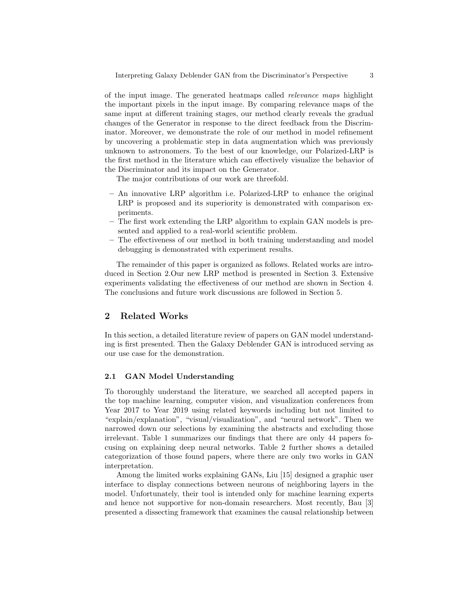of the input image. The generated heatmaps called *relevance maps* highlight the important pixels in the input image. By comparing relevance maps of the same input at different training stages, our method clearly reveals the gradual changes of the Generator in response to the direct feedback from the Discriminator. Moreover, we demonstrate the role of our method in model refinement by uncovering a problematic step in data augmentation which was previously unknown to astronomers. To the best of our knowledge, our Polarized-LRP is the first method in the literature which can effectively visualize the behavior of the Discriminator and its impact on the Generator.

The major contributions of our work are threefold.

- An innovative LRP algorithm i.e. Polarized-LRP to enhance the original LRP is proposed and its superiority is demonstrated with comparison experiments.
- The first work extending the LRP algorithm to explain GAN models is pre- $\overline{\phantom{0}}$ sented and applied to a real-world scientific problem.
- The effectiveness of our method in both training understanding and model debugging is demonstrated with experiment results.

The remainder of this paper is organized as follows. Related works are introduced in Section 2.Our new LRP method is presented in Section 3. Extensive experiments validating the effectiveness of our method are shown in Section 4. The conclusions and future work discussions are followed in Section 5.

# $\overline{2}$ **Related Works**

In this section, a detailed literature review of papers on GAN model understanding is first presented. Then the Galaxy Deblender GAN is introduced serving as our use case for the demonstration.

### $2.1$ **GAN Model Understanding**

To thoroughly understand the literature, we searched all accepted papers in the top machine learning, computer vision, and visualization conferences from Year 2017 to Year 2019 using related keywords including but not limited to "explain/explanation", "visual/visualization", and "neural network". Then we narrowed down our selections by examining the abstracts and excluding those irrelevant. Table 1 summarizes our findings that there are only 44 papers focusing on explaining deep neural networks. Table 2 further shows a detailed categorization of those found papers, where there are only two works in GAN interpretation.

Among the limited works explaining GANs, Liu [15] designed a graphic user interface to display connections between neurons of neighboring layers in the model. Unfortunately, their tool is intended only for machine learning experts and hence not supportive for non-domain researchers. Most recently, Bau [3] presented a dissecting framework that examines the causal relationship between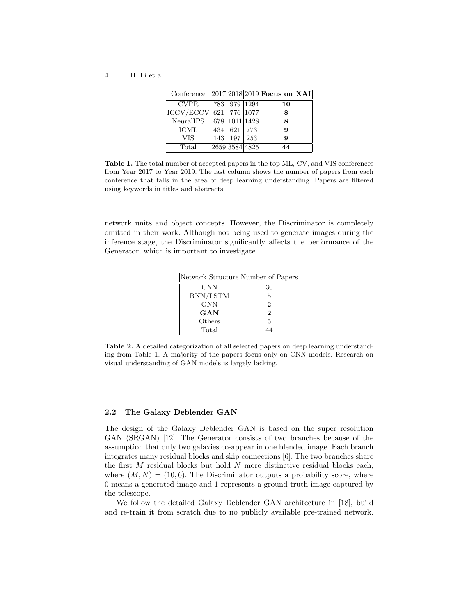$\overline{4}$ H. Li et al.

| Conference       |     |           |                  | $ 2017 2018 2019 $ Focus on XAI |
|------------------|-----|-----------|------------------|---------------------------------|
| CVPR.            |     |           | 783   979   1294 | 10                              |
| <b>ICCV/ECCV</b> |     |           | 621   776   1077 |                                 |
| NeuralIPS        |     |           | 678 1011 1428    |                                 |
| <b>ICML</b>      | 434 | 621   773 |                  | 9                               |
| VIS              | 143 | 197       | $\sqrt{253}$     | я                               |
| Total            |     |           | 2659 3584 4825   | 44                              |

Table 1. The total number of accepted papers in the top ML, CV, and VIS conferences from Year 2017 to Year 2019. The last column shows the number of papers from each conference that falls in the area of deep learning understanding. Papers are filtered using keywords in titles and abstracts.

network units and object concepts. However, the Discriminator is completely omitted in their work. Although not being used to generate images during the inference stage, the Discriminator significantly affects the performance of the Generator, which is important to investigate.

| Network Structure Number of Papers |               |
|------------------------------------|---------------|
| <b>CNN</b>                         | 30            |
| RNN/LSTM                           | 5             |
| GNN                                | $\mathcal{D}$ |
| $_{\rm GAN}$                       | 2             |
| Others                             | 5             |
| Total                              |               |

Table 2. A detailed categorization of all selected papers on deep learning understanding from Table 1. A majority of the papers focus only on CNN models. Research on visual understanding of GAN models is largely lacking.

#### The Galaxy Deblender GAN  $2.2$

The design of the Galaxy Deblender GAN is based on the super resolution GAN (SRGAN) [12]. The Generator consists of two branches because of the assumption that only two galaxies co-appear in one blended image. Each branch integrates many residual blocks and skip connections [6]. The two branches share the first  $M$  residual blocks but hold  $N$  more distinctive residual blocks each, where  $(M, N) = (10, 6)$ . The Discriminator outputs a probability score, where 0 means a generated image and 1 represents a ground truth image captured by the telescope.

We follow the detailed Galaxy Deblender GAN architecture in [18], build and re-train it from scratch due to no publicly available pre-trained network.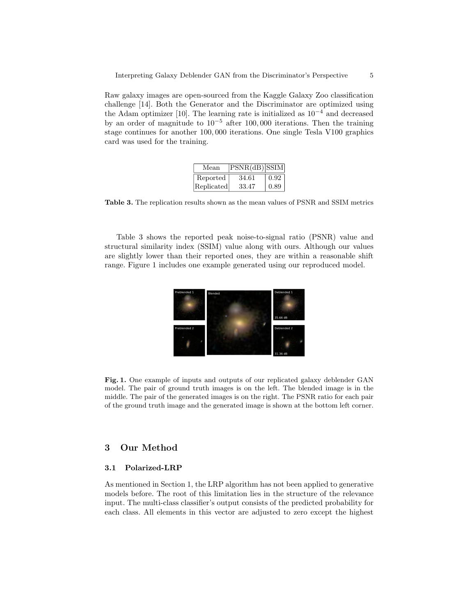Raw galaxy images are open-sourced from the Kaggle Galaxy Zoo classification challenge [14]. Both the Generator and the Discriminator are optimized using the Adam optimizer [10]. The learning rate is initialized as  $10^{-4}$  and decreased by an order of magnitude to  $10^{-5}$  after 100,000 iterations. Then the training stage continues for another 100,000 iterations. One single Tesla V100 graphics card was used for the training.

| Mean       | $PSNR(dB)$ SSIM |      |
|------------|-----------------|------|
| Reported   | 34.61           | 0.92 |
| Replicated | 33.47           | 0.89 |

Table 3. The replication results shown as the mean values of PSNR and SSIM metrics

Table 3 shows the reported peak noise-to-signal ratio (PSNR) value and structural similarity index (SSIM) value along with ours. Although our values are slightly lower than their reported ones, they are within a reasonable shift range. Figure 1 includes one example generated using our reproduced model.



Fig. 1. One example of inputs and outputs of our replicated galaxy deblender GAN model. The pair of ground truth images is on the left. The blended image is in the middle. The pair of the generated images is on the right. The PSNR ratio for each pair of the ground truth image and the generated image is shown at the bottom left corner.

# **Our Method** 3

#### $3.1$ Polarized-LRP

As mentioned in Section 1, the LRP algorithm has not been applied to generative models before. The root of this limitation lies in the structure of the relevance input. The multi-class classifier's output consists of the predicted probability for each class. All elements in this vector are adjusted to zero except the highest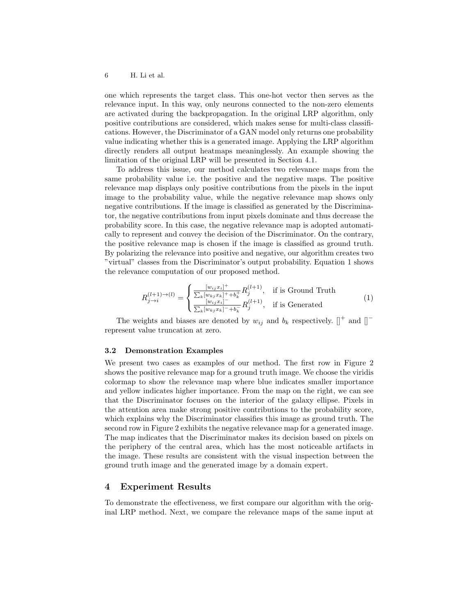#### $\,6\,$ H. Li et al.

one which represents the target class. This one-hot vector then serves as the relevance input. In this way, only neurons connected to the non-zero elements are activated during the backpropagation. In the original LRP algorithm, only positive contributions are considered, which makes sense for multi-class classifications. However, the Discriminator of a GAN model only returns one probability value indicating whether this is a generated image. Applying the LRP algorithm directly renders all output heatmaps meaninglessly. An example showing the limitation of the original LRP will be presented in Section 4.1.

To address this issue, our method calculates two relevance maps from the same probability value i.e. the positive and the negative maps. The positive relevance map displays only positive contributions from the pixels in the input image to the probability value, while the negative relevance map shows only negative contributions. If the image is classified as generated by the Discriminator, the negative contributions from input pixels dominate and thus decrease the probability score. In this case, the negative relevance map is adopted automatically to represent and convey the decision of the Discriminator. On the contrary, the positive relevance map is chosen if the image is classified as ground truth. By polarizing the relevance into positive and negative, our algorithm creates two "virtual" classes from the Discriminator's output probability. Equation 1 shows the relevance computation of our proposed method.

$$
R_{j \to i}^{(l+1) \to (l)} = \begin{cases} \frac{[w_{ij}x_i]^+}{\sum_k [w_{kj}x_k]^+ + b_k^+} R_j^{(l+1)}, & \text{if is Ground Truth} \\ \frac{[w_{ij}x_i]^-}{\sum_k [w_{kj}x_k]^- + b_k^-} R_j^{(l+1)}, & \text{if is Generaled} \end{cases}
$$
(1)

The weights and biases are denoted by  $w_{ij}$  and  $b_k$  respectively.  $\parallel^+$  and  $\parallel^$ represent value truncation at zero.

## **Demonstration Examples**  $3.2\,$

We present two cases as examples of our method. The first row in Figure 2 shows the positive relevance map for a ground truth image. We choose the viridis colormap to show the relevance map where blue indicates smaller importance and yellow indicates higher importance. From the map on the right, we can see that the Discriminator focuses on the interior of the galaxy ellipse. Pixels in the attention area make strong positive contributions to the probability score, which explains why the Discriminator classifies this image as ground truth. The second row in Figure 2 exhibits the negative relevance map for a generated image. The map indicates that the Discriminator makes its decision based on pixels on the periphery of the central area, which has the most noticeable artifacts in the image. These results are consistent with the visual inspection between the ground truth image and the generated image by a domain expert.

# **Experiment Results**  $\bf{4}$

To demonstrate the effectiveness, we first compare our algorithm with the original LRP method. Next, we compare the relevance maps of the same input at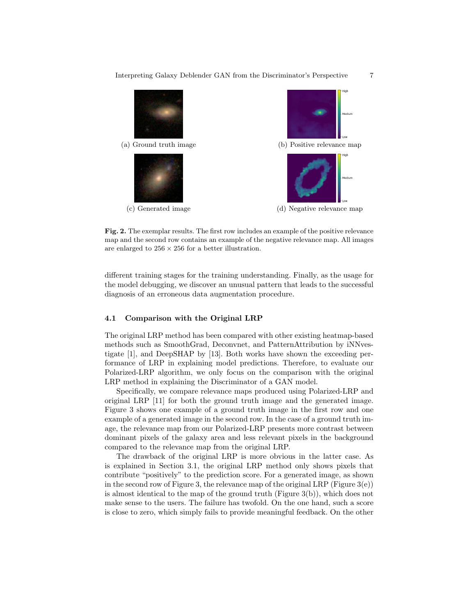

Fig. 2. The exemplar results. The first row includes an example of the positive relevance map and the second row contains an example of the negative relevance map. All images are enlarged to  $256 \times 256$  for a better illustration.

different training stages for the training understanding. Finally, as the usage for the model debugging, we discover an unusual pattern that leads to the successful diagnosis of an erroneous data augmentation procedure.

### Comparison with the Original LRP 4.1

The original LRP method has been compared with other existing heatmap-based methods such as SmoothGrad, Deconvnet, and PatternAttribution by iNNvestigate [1], and DeepSHAP by [13]. Both works have shown the exceeding performance of LRP in explaining model predictions. Therefore, to evaluate our Polarized-LRP algorithm, we only focus on the comparison with the original LRP method in explaining the Discriminator of a GAN model.

Specifically, we compare relevance maps produced using Polarized-LRP and original LRP [11] for both the ground truth image and the generated image. Figure 3 shows one example of a ground truth image in the first row and one example of a generated image in the second row. In the case of a ground truth image, the relevance map from our Polarized-LRP presents more contrast between dominant pixels of the galaxy area and less relevant pixels in the background compared to the relevance map from the original LRP.

The drawback of the original LRP is more obvious in the latter case. As is explained in Section 3.1, the original LRP method only shows pixels that contribute "positively" to the prediction score. For a generated image, as shown in the second row of Figure 3, the relevance map of the original LRP (Figure  $3(e)$ ) is almost identical to the map of the ground truth (Figure  $3(b)$ ), which does not make sense to the users. The failure has twofold. On the one hand, such a score is close to zero, which simply fails to provide meaningful feedback. On the other

 $\overline{7}$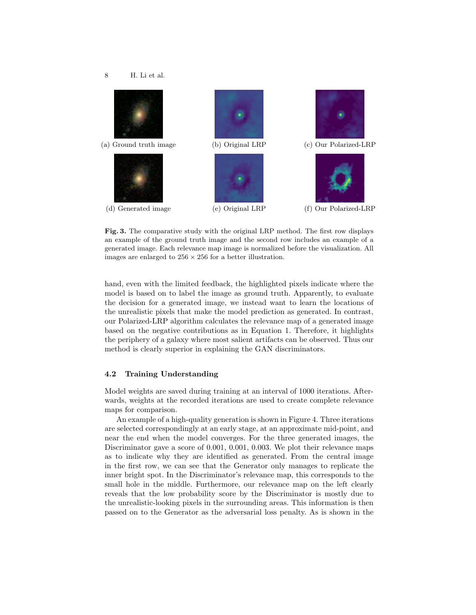

Fig. 3. The comparative study with the original LRP method. The first row displays an example of the ground truth image and the second row includes an example of a generated image. Each relevance map image is normalized before the visualization. All images are enlarged to  $256 \times 256$  for a better illustration.

hand, even with the limited feedback, the highlighted pixels indicate where the model is based on to label the image as ground truth. Apparently, to evaluate the decision for a generated image, we instead want to learn the locations of the unrealistic pixels that make the model prediction as generated. In contrast, our Polarized-LRP algorithm calculates the relevance map of a generated image based on the negative contributions as in Equation 1. Therefore, it highlights the periphery of a galaxy where most salient artifacts can be observed. Thus our method is clearly superior in explaining the GAN discriminators.

### $4.2$ Training Understanding

Model weights are saved during training at an interval of 1000 iterations. Afterwards, weights at the recorded iterations are used to create complete relevance maps for comparison.

An example of a high-quality generation is shown in Figure 4. Three iterations are selected correspondingly at an early stage, at an approximate mid-point, and near the end when the model converges. For the three generated images, the Discriminator gave a score of  $0.001$ ,  $0.001$ ,  $0.003$ . We plot their relevance maps as to indicate why they are identified as generated. From the central image in the first row, we can see that the Generator only manages to replicate the inner bright spot. In the Discriminator's relevance map, this corresponds to the small hole in the middle. Furthermore, our relevance map on the left clearly reveals that the low probability score by the Discriminator is mostly due to the unrealistic-looking pixels in the surrounding areas. This information is then passed on to the Generator as the adversarial loss penalty. As is shown in the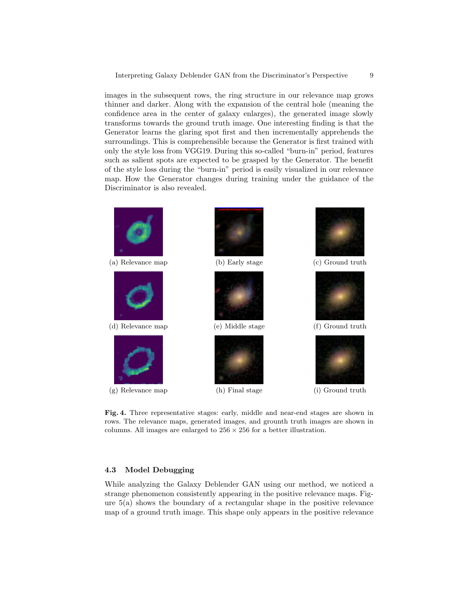images in the subsequent rows, the ring structure in our relevance map grows thinner and darker. Along with the expansion of the central hole (meaning the confidence area in the center of galaxy enlarges), the generated image slowly transforms towards the ground truth image. One interesting finding is that the Generator learns the glaring spot first and then incrementally apprehends the surroundings. This is comprehensible because the Generator is first trained with only the style loss from VGG19. During this so-called "burn-in" period, features such as salient spots are expected to be grasped by the Generator. The benefit of the style loss during the "burn-in" period is easily visualized in our relevance map. How the Generator changes during training under the guidance of the Discriminator is also revealed.



Fig. 4. Three representative stages: early, middle and near-end stages are shown in rows. The relevance maps, generated images, and grounth truth images are shown in columns. All images are enlarged to  $256 \times 256$  for a better illustration.

### $4.3$ **Model Debugging**

While analyzing the Galaxy Deblender GAN using our method, we noticed a strange phenomenon consistently appearing in the positive relevance maps. Figure  $5(a)$  shows the boundary of a rectangular shape in the positive relevance map of a ground truth image. This shape only appears in the positive relevance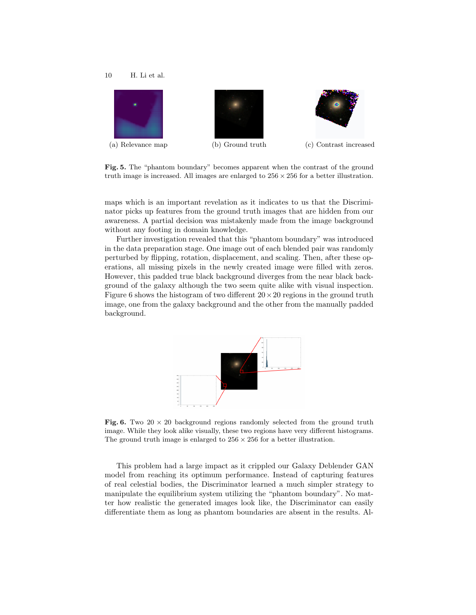#### 10 H. Li et al.



Fig. 5. The "phantom boundary" becomes apparent when the contrast of the ground truth image is increased. All images are enlarged to  $256 \times 256$  for a better illustration.

maps which is an important revelation as it indicates to us that the Discriminator picks up features from the ground truth images that are hidden from our awareness. A partial decision was mistakenly made from the image background without any footing in domain knowledge.

Further investigation revealed that this "phantom boundary" was introduced in the data preparation stage. One image out of each blended pair was randomly perturbed by flipping, rotation, displacement, and scaling. Then, after these operations, all missing pixels in the newly created image were filled with zeros. However, this padded true black background diverges from the near black background of the galaxy although the two seem quite alike with visual inspection. Figure 6 shows the histogram of two different  $20 \times 20$  regions in the ground truth image, one from the galaxy background and the other from the manually padded background.



Fig. 6. Two 20  $\times$  20 background regions randomly selected from the ground truth image. While they look alike visually, these two regions have very different histograms. The ground truth image is enlarged to  $256 \times 256$  for a better illustration.

This problem had a large impact as it crippled our Galaxy Deblender GAN model from reaching its optimum performance. Instead of capturing features of real celestial bodies, the Discriminator learned a much simpler strategy to manipulate the equilibrium system utilizing the "phantom boundary". No matter how realistic the generated images look like, the Discriminator can easily differentiate them as long as phantom boundaries are absent in the results. Al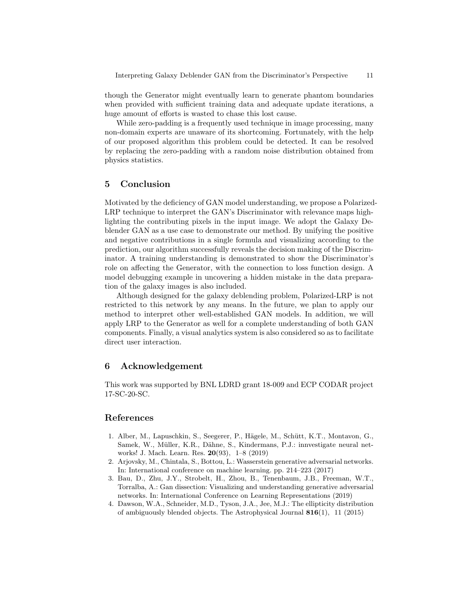though the Generator might eventually learn to generate phantom boundaries when provided with sufficient training data and adequate update iterations, a huge amount of efforts is wasted to chase this lost cause.

While zero-padding is a frequently used technique in image processing, many non-domain experts are unaware of its shortcoming. Fortunately, with the help of our proposed algorithm this problem could be detected. It can be resolved by replacing the zero-padding with a random noise distribution obtained from physics statistics.

# $\mathbf{5}$ Conclusion

Motivated by the deficiency of GAN model understanding, we propose a Polarized-LRP technique to interpret the GAN's Discriminator with relevance maps highlighting the contributing pixels in the input image. We adopt the Galaxy Deblender GAN as a use case to demonstrate our method. By unifying the positive and negative contributions in a single formula and visualizing according to the prediction, our algorithm successfully reveals the decision making of the Discriminator. A training understanding is demonstrated to show the Discriminator's role on affecting the Generator, with the connection to loss function design. A model debugging example in uncovering a hidden mistake in the data preparation of the galaxy images is also included.

Although designed for the galaxy deblending problem, Polarized-LRP is not restricted to this network by any means. In the future, we plan to apply our method to interpret other well-established GAN models. In addition, we will apply LRP to the Generator as well for a complete understanding of both GAN components. Finally, a visual analytics system is also considered so as to facilitate direct user interaction.

# 6 Acknowledgement

This work was supported by BNL LDRD grant 18-009 and ECP CODAR project 17-SC-20-SC.

# References

- 1. Alber, M., Lapuschkin, S., Seegerer, P., Hägele, M., Schütt, K.T., Montavon, G., Samek, W., Müller, K.R., Dähne, S., Kindermans, P.J.: innvestigate neural networks! J. Mach. Learn. Res.  $20(93)$ ,  $1-8$  (2019)
- 2. Arjovsky, M., Chintala, S., Bottou, L.: Wasserstein generative adversarial networks. In: International conference on machine learning. pp. 214-223 (2017)
- 3. Bau, D., Zhu, J.Y., Strobelt, H., Zhou, B., Tenenbaum, J.B., Freeman, W.T., Torralba, A.: Gan dissection: Visualizing and understanding generative adversarial networks. In: International Conference on Learning Representations (2019)
- 4. Dawson, W.A., Schneider, M.D., Tyson, J.A., Jee, M.J.: The ellipticity distribution of ambiguously blended objects. The Astrophysical Journal  $816(1)$ , 11 (2015)